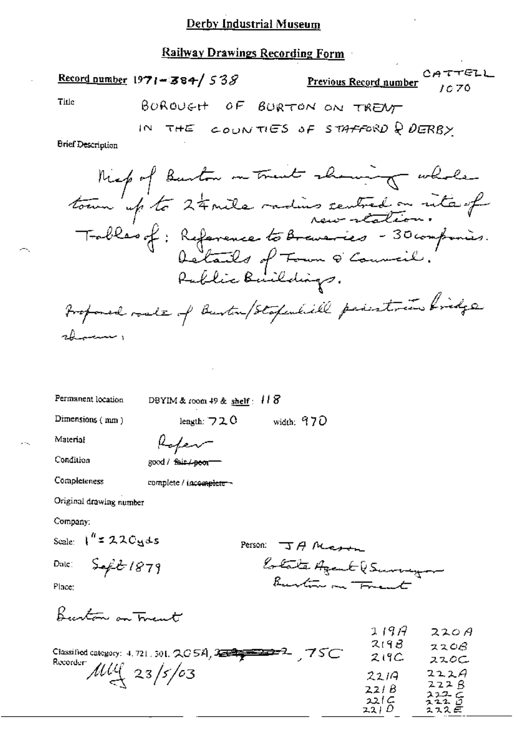### **Railway Drawings Recording Form**

|                          | <b>Record number 1971-384/538</b> | <b>Previous Record number</b> $\begin{array}{c} C \text{A} + C \text{C} \text{C} \end{array}$ |  |
|--------------------------|-----------------------------------|-----------------------------------------------------------------------------------------------|--|
| Title                    |                                   | BOROUGH OF BURTON ON TRENT                                                                    |  |
|                          |                                   | IN THE COUNTIES OF STAFFORD Q DERBY                                                           |  |
| <b>Brief Description</b> |                                   |                                                                                               |  |
|                          |                                   | Miep of Barton on trait showing whole                                                         |  |
|                          |                                   |                                                                                               |  |

Tobles of: Reference to Braveries - 30 compones.<br>Octails of Town & Council.<br>Public Buildings. Proponed roads of Burton/Stopenhill peristoin bridge showing

Permanent location

DBYIM & room 49 & shelf:  $118$ 

Dimensions (mm)

length:  $720$ width:  $970$ 

Material

Kafev

Condition

good / fair / peor

Completeness complete / incomplete -

Original drawing number

Company:

Scale:  $1'' = 220yds$ 

 $\mathsf{Dale}_\mathbb{C}$ 

 $Seft1879$ 

Person  $J A \text{ M}$ Estate Agent (Survey

Place:

Burton on Trent

| 75C<br>Classified category: 4, 721, 301, $QG5A$ , $2\equiv 2\equiv 2\equiv 2$ | 1197<br>219B<br>219C | 220A<br>2208<br>ススのこ |
|-------------------------------------------------------------------------------|----------------------|----------------------|
| Recorder:<br>$\frac{100}{2}$ 23/5/03                                          | 2219<br>221 B        | 222A<br>222B         |
|                                                                               | 221 C<br>22/D        | スユユニ<br>7220<br>スススピ |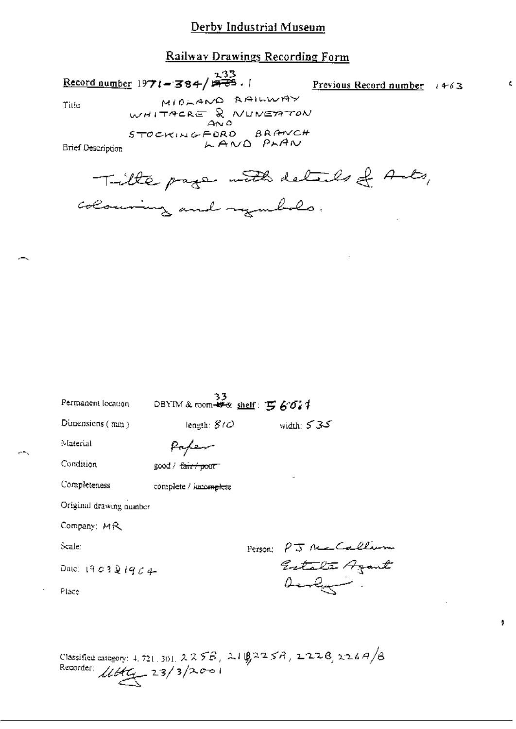# Railway Drawings Recording Form

Record number 1971 - 384/ $\frac{233}{777}$ .

Previous Record number  $1463$ 

¢

ģ

Title

MIDLAND RAILWAY WHITACRE & NUMERTON STOCKINGFORD BRANCH LAND PLAN

**Brief Description** 

Tille page with details of Ants, colouring and regulato.

| Permanent location      | 33<br>DBYIM & room-## shelf: $\mathbf{F}$ 607 |         |                                                                 |
|-------------------------|-----------------------------------------------|---------|-----------------------------------------------------------------|
| Dimensions $(\max)$     | length: $810$                                 |         | ككركر :width                                                    |
| Material                |                                               |         |                                                                 |
| Condition               | good / <del>fair / po</del> or -              |         |                                                                 |
| Completeness            | complete / immenditie                         |         |                                                                 |
| Original drawing number |                                               |         |                                                                 |
| Company: MR             |                                               |         |                                                                 |
| Scale:                  |                                               | Person; |                                                                 |
| Date: 1903 $2$ $1904$   |                                               |         | PJ Ne Callin<br>Estata Azant<br>Aenly                           |
| Place                   |                                               |         |                                                                 |
|                         |                                               |         |                                                                 |
|                         |                                               |         |                                                                 |
|                         |                                               | .       | $\mathcal{L} \mathcal{L} = \mathcal{L} \mathcal{L} \mathcal{L}$ |

Classified category: 4, 721, 301, 2255, 2108225A, 2226, 226A/B Recorder:  $11645 - 23/3/2001$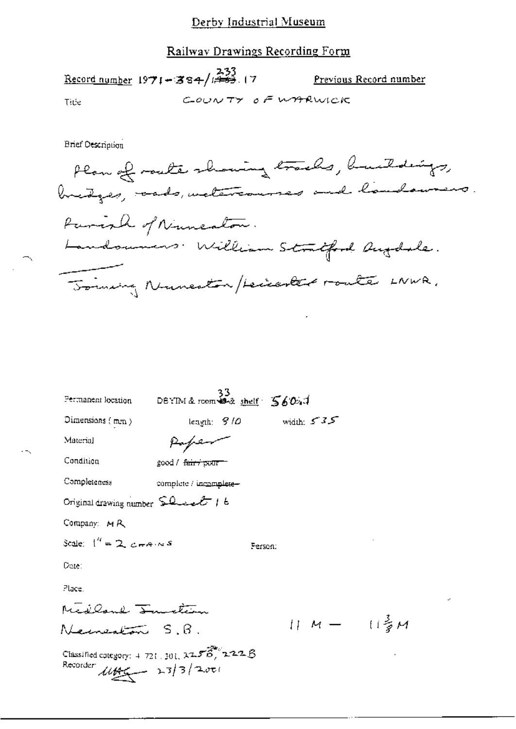### Railway Drawings Recording Form

Record number  $1971 - 384 / \frac{233}{173}$ . 17 Previous Record number COUNTY OF WARWICK Title

**Brief Description** 

Plan of route showing tracks, buildings, Parish of Numeaton. Landoumers. William Stratford Augdale. Joining Numeston/Leicenter route LNWR.

| Permanent location                                                                      | $33$<br>DEYIM & room $44$ shelf $5604$ |                            |         |               |  |
|-----------------------------------------------------------------------------------------|----------------------------------------|----------------------------|---------|---------------|--|
| Dimensions (mm)                                                                         |                                        | length: $910$ width: $535$ |         |               |  |
| Material                                                                                | Paper                                  |                            |         |               |  |
| Condition                                                                               | good / <del>fair / pour</del>          |                            |         |               |  |
| Completeness                                                                            | complete / incomplete-                 |                            |         |               |  |
| Original drawing number $SL$ even $t$ t                                                 |                                        |                            |         |               |  |
| Company: MR                                                                             |                                        |                            |         |               |  |
| Scale: $1^{\prime\prime} = 2$ , $\epsilon \pm \epsilon \cdot \kappa s$                  |                                        |                            | Ferson: |               |  |
| Date:                                                                                   |                                        |                            |         |               |  |
| Place.                                                                                  |                                        |                            |         |               |  |
| Medland <del>Sandtern</del>                                                             |                                        |                            |         |               |  |
| eanealañ S.B.                                                                           |                                        |                            |         | 11 M-- (1) HA |  |
| Classified category: $4.721$ , $301$ , $27.56$ , $2727.8$<br>Recorder $4466 - 23/3/200$ |                                        |                            |         |               |  |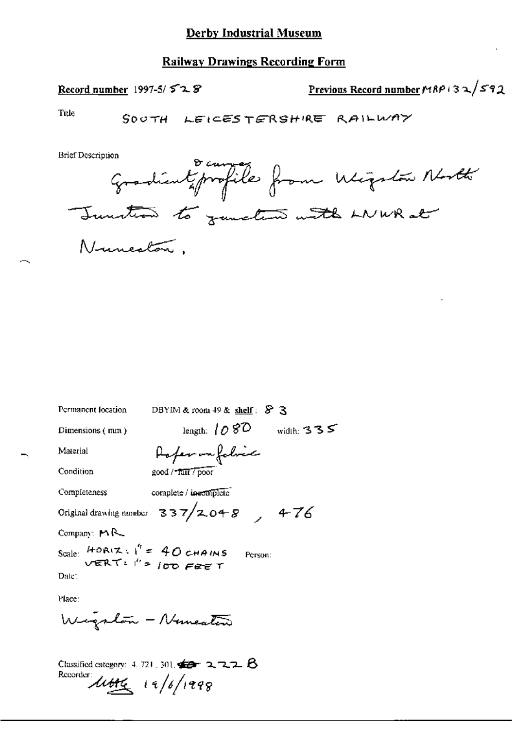### **Railway Drawings Recording Form**

### Record number  $1997-5/528$

Previous Record number MRP 132/592

Title

**Brief Description** 

Gradient profiles from Migular North<br>Junction to junction with LNWR at

| Permanent location                                                   | DBYIM & room $49$ & shelf: $$$ 3               |  |  |  |
|----------------------------------------------------------------------|------------------------------------------------|--|--|--|
| Dimensions (mm)                                                      | length: $1080$<br>width: $335$                 |  |  |  |
| Material                                                             | Rofer on fabric                                |  |  |  |
| Condition                                                            | good / Tair / poor                             |  |  |  |
| Completeness                                                         | complete / incomplete                          |  |  |  |
|                                                                      | Original drawing number $337/2048$ , $476$     |  |  |  |
| Company: MR                                                          |                                                |  |  |  |
| Scale: $HOR(X, Y') = 40$ CHAINS<br>VERT: $T' = 100$ Fee T<br>Person: |                                                |  |  |  |
| Date:                                                                |                                                |  |  |  |
| Place:                                                               |                                                |  |  |  |
|                                                                      | Wigslow - Numeaters                            |  |  |  |
|                                                                      | Classified category: 4, 721, 301, $42 - 2 - 1$ |  |  |  |

Recorder 14/6/1998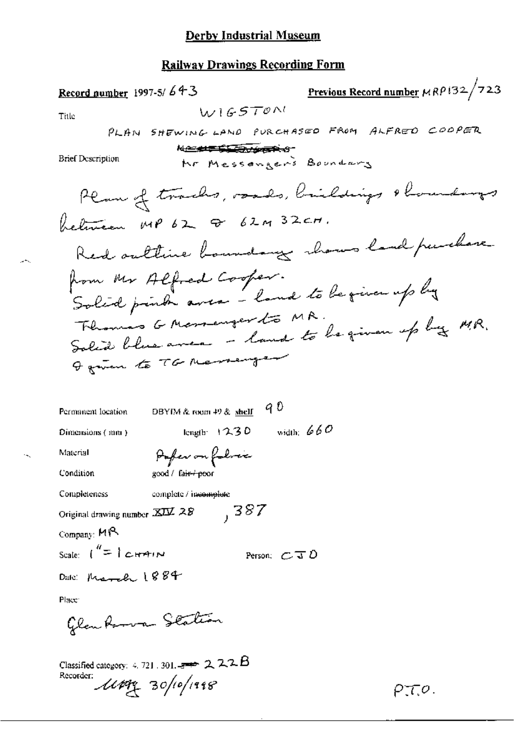# Railway Drawings Recording Form

| Previous Record number $\mu$ RP i32/723<br>Record number 1997-5/643<br>W1GSTON<br>Title<br>PLAN SHEWING LAND PURCHASED FROM ALFRED COOPER<br><del>▎<i>▎</i>▁▁▟▟▜▀▐<mark>▚▙▟▒</mark>▁▞<i>¥</i>@▛<sup></sup>▆੶ᢒ</del><br><b>Brief Description</b><br>Mr Messengers Boundary |
|---------------------------------------------------------------------------------------------------------------------------------------------------------------------------------------------------------------------------------------------------------------------------|
|                                                                                                                                                                                                                                                                           |
|                                                                                                                                                                                                                                                                           |
|                                                                                                                                                                                                                                                                           |
|                                                                                                                                                                                                                                                                           |
|                                                                                                                                                                                                                                                                           |
| Plan of tracks, roads, brieldings & houndarys                                                                                                                                                                                                                             |
| between MP 62 & 62M 32CM.                                                                                                                                                                                                                                                 |
| Red outline boundary whows land purchase                                                                                                                                                                                                                                  |
| from Mr Alfred Cooper.<br>Solid print avec - land to be given up by                                                                                                                                                                                                       |
| Thomas G Mossenger to MR.<br>Solid blue avec - land to be given up by MR.                                                                                                                                                                                                 |
| I given to TG Messenger                                                                                                                                                                                                                                                   |
| 9 D<br>Permanent location<br>DBYIM & room 49 & shelf                                                                                                                                                                                                                      |
| width: $660$<br>length: 12.3D<br>Dimensions (mm)                                                                                                                                                                                                                          |
| Pofer on folice<br>Material                                                                                                                                                                                                                                               |
| Condition<br>good / fa <del>ir / po</del> or                                                                                                                                                                                                                              |
| Completeness<br>complete / incomplete                                                                                                                                                                                                                                     |
| 387<br>Original drawing number XIV 28                                                                                                                                                                                                                                     |
| Company: MR                                                                                                                                                                                                                                                               |
| Scale: $\binom{n}{r}$ CHAIN<br>Person: $C \mathcal{J} \mathcal{D}$                                                                                                                                                                                                        |
| Date: March 1884                                                                                                                                                                                                                                                          |
| Place:                                                                                                                                                                                                                                                                    |
| Glandsman Station                                                                                                                                                                                                                                                         |
| Classified category $\leq$ 721 $\geq$ 201 $\Rightarrow$ 72 $\geq$ 22 $\triangle$                                                                                                                                                                                          |

Classified category: 4, 721, 301, 200 22

ومشير

 $\mathcal{A}_\infty$ 

 $PTQ$ .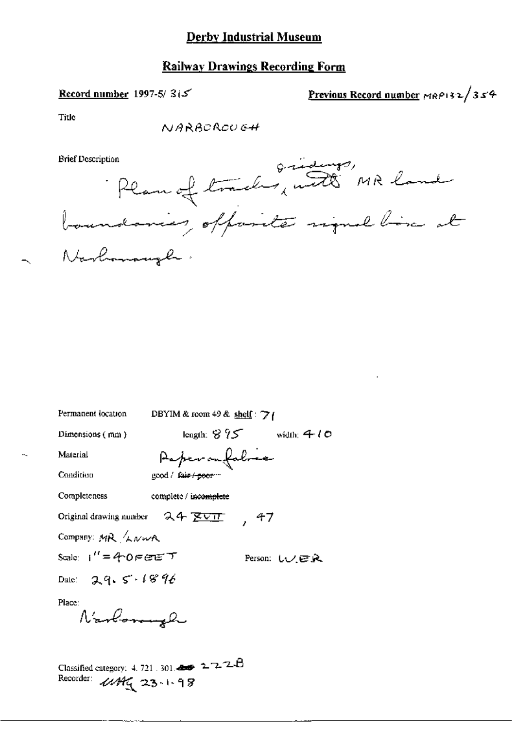# **Railway Drawings Recording Form**

### Record number 1997-5/ $315$

Previous Record number MRP132/354

Title

NARBOROUGH

**Brief Description** 



| Permanent location                                                                           | DBYIM & room 49 & shelf: $\gamma_1$ |                                         |
|----------------------------------------------------------------------------------------------|-------------------------------------|-----------------------------------------|
| Dimensions (mm)                                                                              |                                     | length: $8\sqrt{25}$ width: $40\degree$ |
| Material                                                                                     | Paper on fabres                     |                                         |
| Condition                                                                                    | good / fa <del>ir / poor</del> --   |                                         |
| Completeness                                                                                 | complete / inco <del>mplet</del> e  |                                         |
| Original drawing number $24 \times 11$                                                       |                                     | , 47                                    |
| Company: MR <i>Liver</i>                                                                     |                                     |                                         |
| Scale: i″=4ాO౯ఆಂਛె                                                                           |                                     | Person: いノビヌ                            |
| Dale: 29.5.1896                                                                              |                                     |                                         |
| Place:<br>Navlonnel                                                                          |                                     |                                         |
| Classified category: 4, 721, 301, $\bullet$ 2, 2, 2, 2, $\theta$<br>Recorder:<br>444(23.198) |                                     |                                         |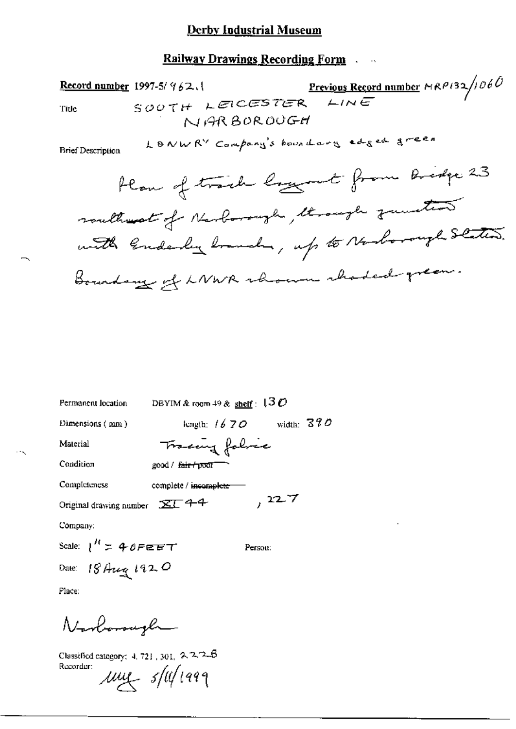## **Railway Drawings Recording Form Action**

1997-5/962.1 Previous Record number MRP132/1060<br>SOUTH LEICESTER LINE Record number 1997-5/ 962. Title NARBOROUGH

LONWRY Company's boundary edged green

**Brief Description** 

| DBYIM & room 49 & $\frac{\text{sheff}}{2}$ : $130$      |                |  |  |  |
|---------------------------------------------------------|----------------|--|--|--|
| length: $16.70$                                         | width: $370$   |  |  |  |
|                                                         |                |  |  |  |
| $good /$ $fair + pW$                                    |                |  |  |  |
| complete / incomplete                                   |                |  |  |  |
| ,227<br>Original drawing number $\mathbb{Z} \Gamma$ 4-4 |                |  |  |  |
|                                                         |                |  |  |  |
| Scale: $1'' = 40$ FEET<br>Person:                       |                |  |  |  |
| Date: 18 Aug 1920                                       |                |  |  |  |
|                                                         | Tracing folice |  |  |  |

Place:

Nordonagh

Classified category: 4, 721, 301, 2, 2, 2, B Recorder:  $\mu$ uy s/u/1999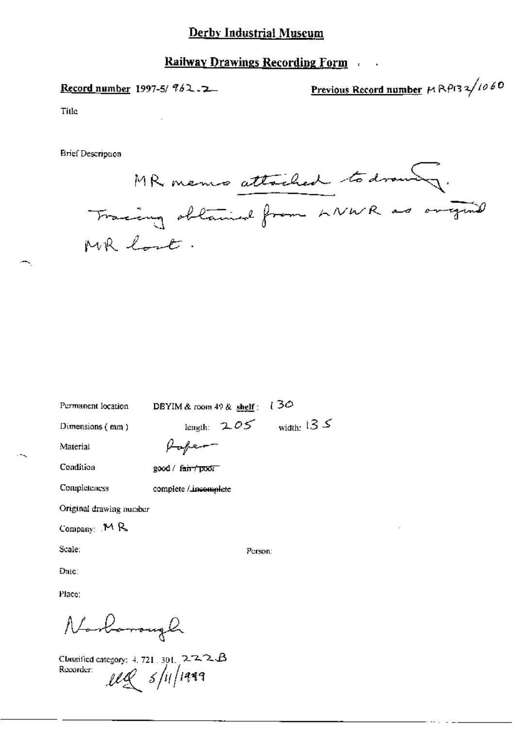## **Railway Drawings Recording Form**

Record number 1997-5/  $962.72$ 

Previous Record number  $M \mathsf{R} \rho$ (32/1060

Title

Brief Description

MR memo attached to drawing. Fracing obtained from LNWR as original MR lost.

DBYIM & room 49 & shelf:  $130$ Permanent location length:  $2.05$  width: 135 Dimensions (mm) Paper-Material Condition good / fair / poor Completeness complete / incomplete Original drawing number Company:  $M R$ Scale: Person: Date: Place:

Norbarough

Classified category:  $4, 721, 301, 2.2.2. B$ Recorder:  $\ell\ell\ell$  s/ii/1949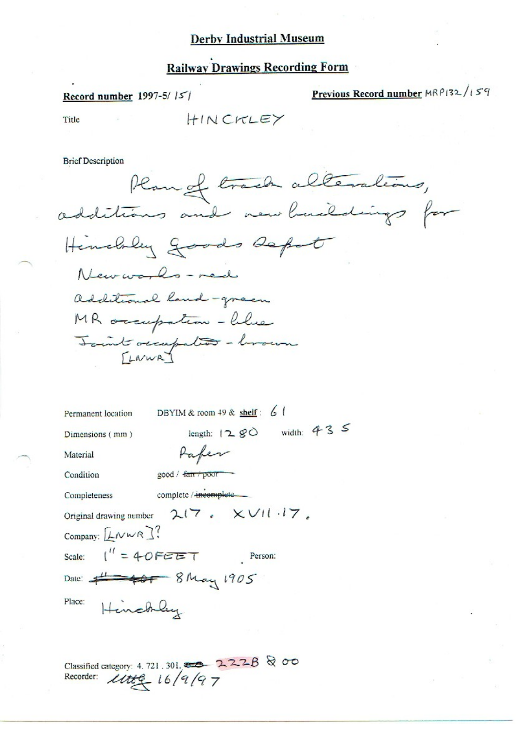# **Railway Drawings Recording Form**

#### Record number 1997-5/15/

Previous Record number MRP132/159

Title

HINCKLEY

**Brief Description** 

Plan of track alterations, Hinchley goods depot New worlds - med additional land-green MR occupation - blue Joint occupation - horoum

| Permanent location                            | DBYIM & room $49$ & shelf: 6                                     |
|-----------------------------------------------|------------------------------------------------------------------|
| Dimensions (mm)                               | width: $43$ $5$<br>length: $12 g$                                |
| Material                                      |                                                                  |
| Condition                                     | good / fan / poor                                                |
| Completeness                                  | complete / incomplete                                            |
|                                               | Original drawing number $2(7 \cdot \times \sqrt{11} \cdot 17)$ . |
| Company: $[LNNR]$ ?                           |                                                                  |
| Scale: $\int'' = 40F \mathcal{C} \mathcal{F}$ | Person:                                                          |
|                                               | Date: 1905                                                       |
| Place:<br>Henchley                            |                                                                  |

Classified category: 4.721.301. 222B & 00<br>Recorder:  $\text{Utt}_2 = 16/9/97$